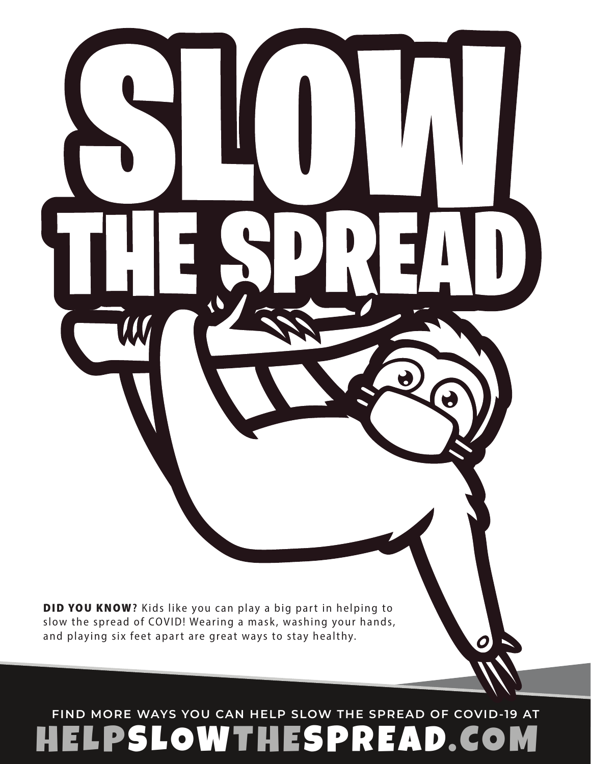DID YOU KNOW? Kids like you can play a big part in helping to slow the spread of COVID! Wearing a mask, washing your hands, and playing six feet apart are great ways to stay healthy.

11

### OWTHESPREAD.COM **FIND MORE WAYS YOU CAN HELP SLOW THE SPREAD OF COVID-19 AT**

0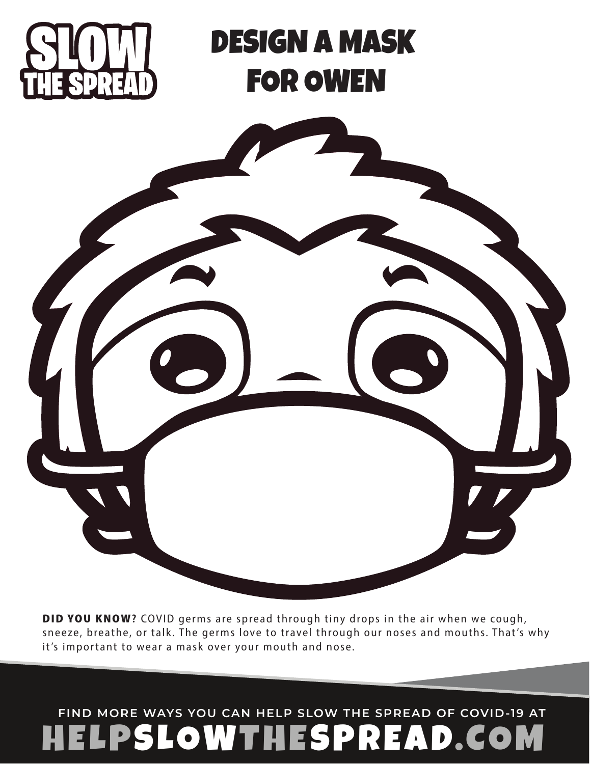

# DESIGN A MASK FOR OWEN



DID YOU KNOW? COVID germs are spread through tiny drops in the air when we cough, sneeze, breathe, or talk. The germs love to travel through our noses and mouths. That's why it's important to wear a mask over your mouth and nose.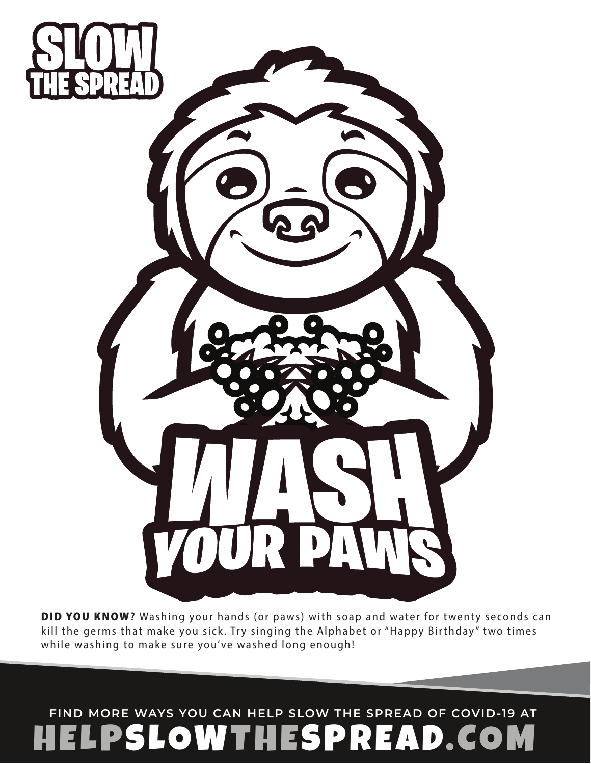

DID YOU KNOW? Washing your hands (or paws) with soap and water for twenty seconds can kill the germs that make you sick. Try singing the Alphabet or "Happy Birthday" two times while washing to make sure you've washed long enough!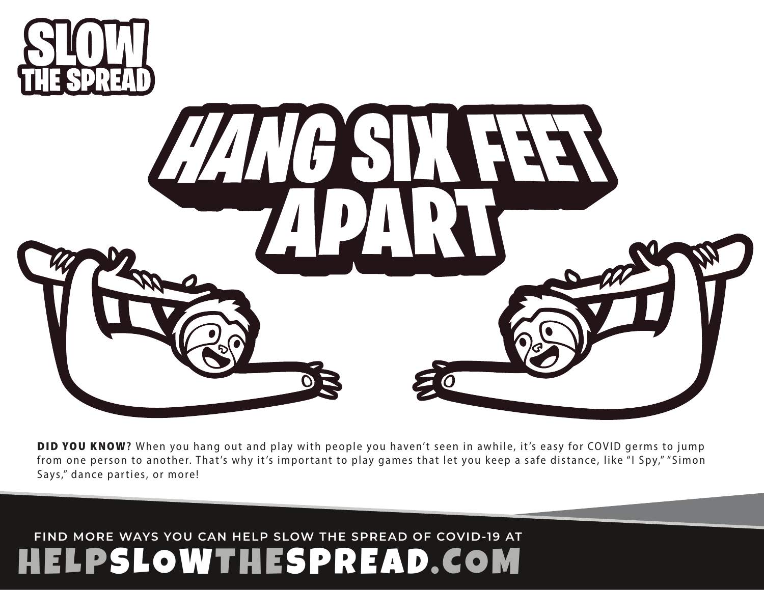



DID YOU KNOW? When you hang out and play with people you haven't seen in awhile, it's easy for COVID germs to jump ſ rom one person to another. That's why it's important to play games that let you keep a safe distance, like "I Spy," "Simon Says," dance parties, or more!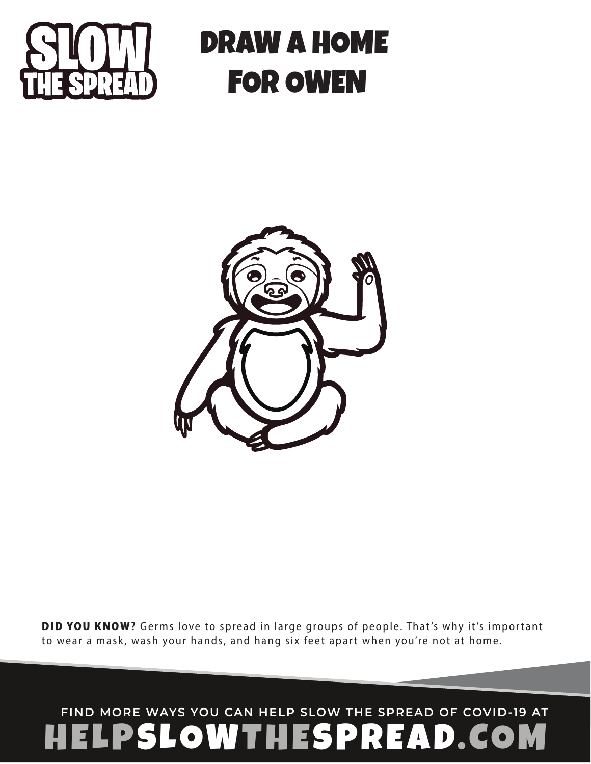

## DRAW A HOME FOR OWEN



DID YOU KNOW? Germs love to spread in large groups of people. That's why it's important to wear a mask, wash your hands, and hang six feet apart when you're not at home.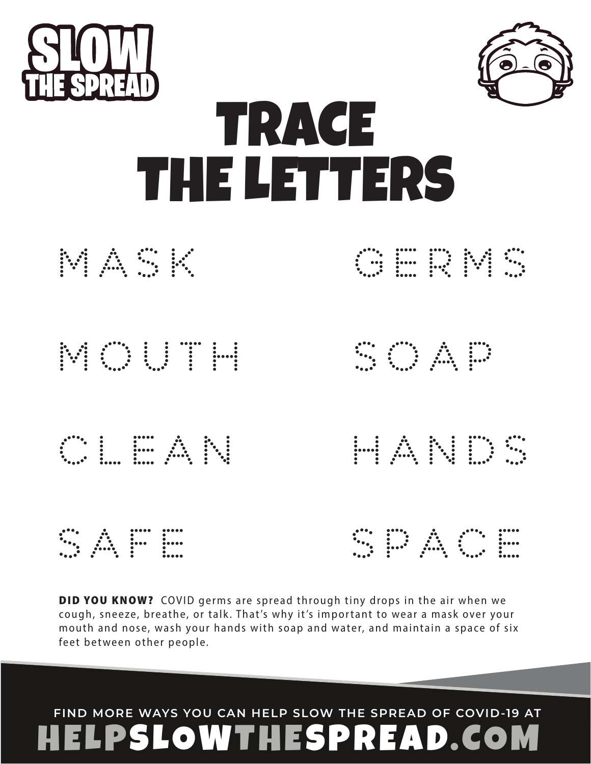

DID YOU KNOW? COVID germs are spread through tiny drops in the air when we cough, sneeze, breathe, or talk. That's why it's important to wear a mask over your mouth and nose, wash your hands with soap and water, and maintain a space of six ſ feet between other people.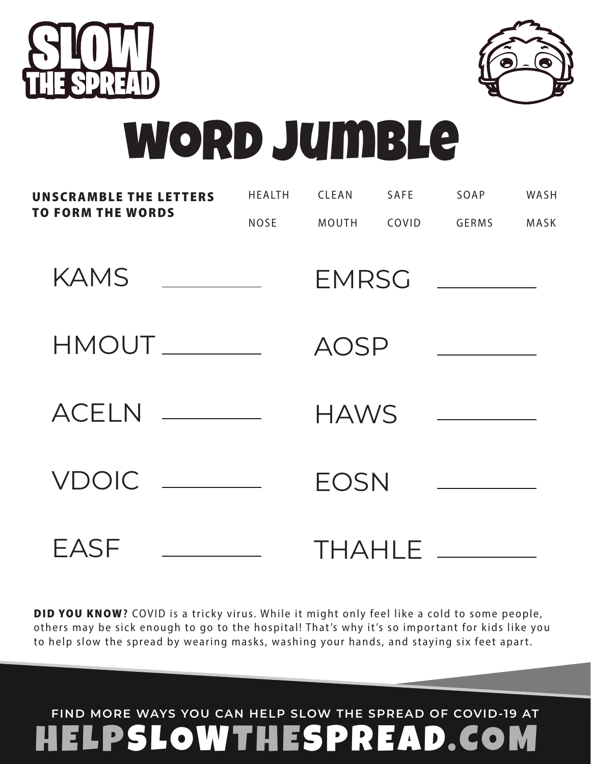

DID YOU KNOW? COVID is a tricky virus. While it might only feel like a cold to some people, others may be sick enough to go to the hospital! That's why it's so important for kids like you to help slow the spread by wearing masks, washing your hands, and staying six feet apart.

| <b>TO FORM THE WORDS</b>                                      | <b>NOSE</b> | <b>MOUTH</b> | COVID | <b>GERMS</b>                         | MASK |
|---------------------------------------------------------------|-------------|--------------|-------|--------------------------------------|------|
| <b>KAMS</b><br><u> 1990 - Jan Barbara Barat, prima popula</u> |             | <b>EMRSG</b> |       |                                      |      |
|                                                               |             | <b>AOSP</b>  |       |                                      |      |
| $ACELN$ ________                                              |             | <b>HAWS</b>  |       | <u> 1990 - Johann Barbara, martx</u> |      |
| $VDOIC$ $\_\_$                                                |             | <b>EOSN</b>  |       |                                      |      |
| EASF                                                          |             |              |       | THAHLE ______                        |      |

word jumble

HEALTH CLEAN SAFE SOAP WASH

**UNSCRAMBLE THE LETTERS**